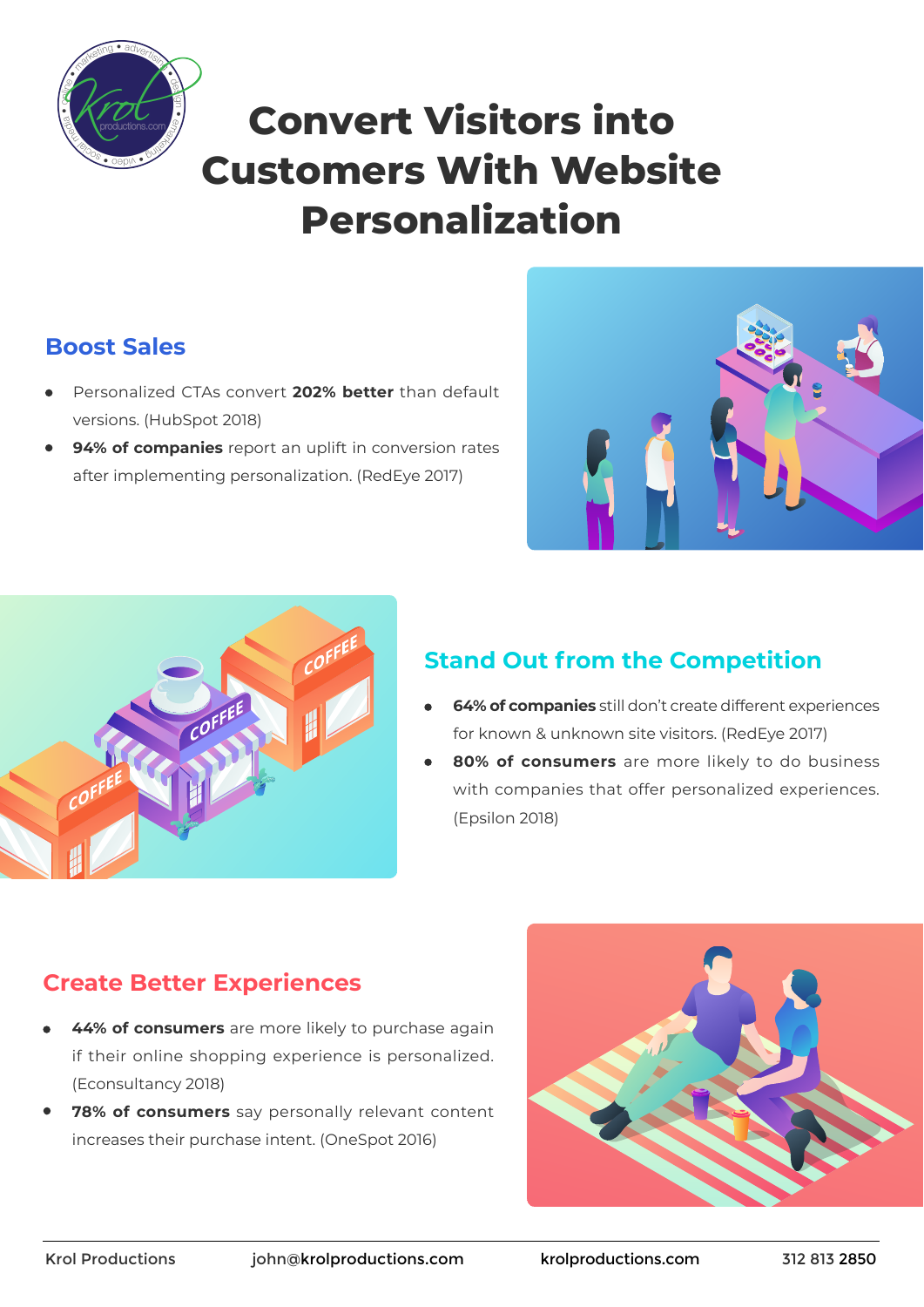

# **Convert Visitors into Customers With Website Personalization**

## **Sales Boost**

- Personalized CTAs convert 202% better than default versions. (HubSpot 2018)
- 94% of companies report an uplift in conversion rates after implementing personalization. (RedEye 2017)





## **Stand Out from the Competition**

- **64% of companies** still don't create different experiences for known & unknown site visitors. (RedEye 2017)
- **80% of consumers** are more likely to do business with companies that offer personalized experiences. (Epsilon 2018)

### **Create Better Experiences**

- 44% of consumers are more likely to purchase again if their online shopping experience is personalized. (Econsultancy 2018)
- 78% of consumers say personally relevant content increases their purchase intent. (OneSpot 2016)